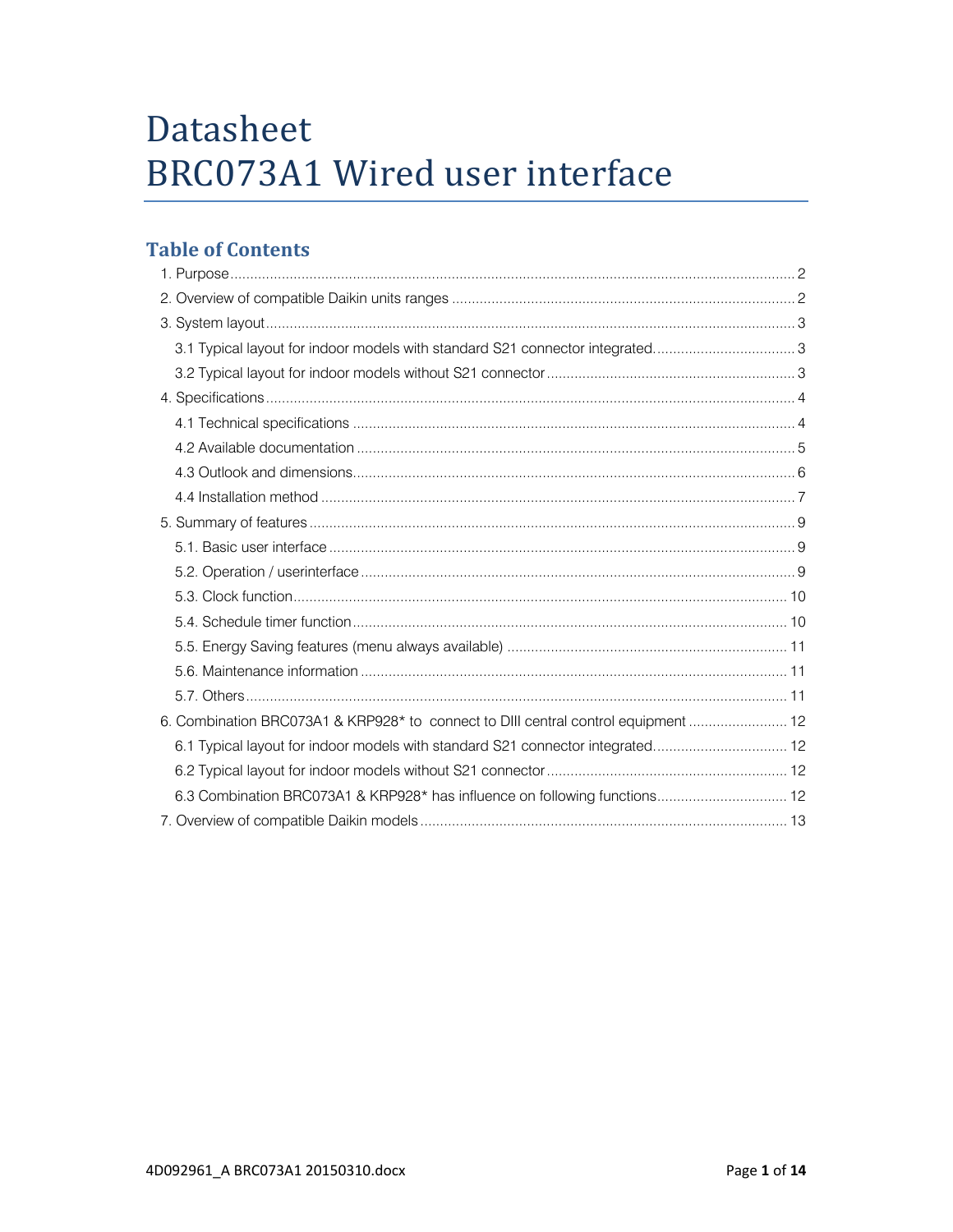# Datasheet BRC073A1 Wired user interface

# **Table of Contents**

| 3.1 Typical layout for indoor models with standard S21 connector integrated        |  |
|------------------------------------------------------------------------------------|--|
|                                                                                    |  |
|                                                                                    |  |
|                                                                                    |  |
|                                                                                    |  |
|                                                                                    |  |
|                                                                                    |  |
|                                                                                    |  |
|                                                                                    |  |
|                                                                                    |  |
|                                                                                    |  |
|                                                                                    |  |
|                                                                                    |  |
|                                                                                    |  |
|                                                                                    |  |
| 6. Combination BRC073A1 & KRP928* to connect to DIII central control equipment  12 |  |
| 6.1 Typical layout for indoor models with standard S21 connector integrated 12     |  |
|                                                                                    |  |
| 6.3 Combination BRC073A1 & KRP928* has influence on following functions 12         |  |
|                                                                                    |  |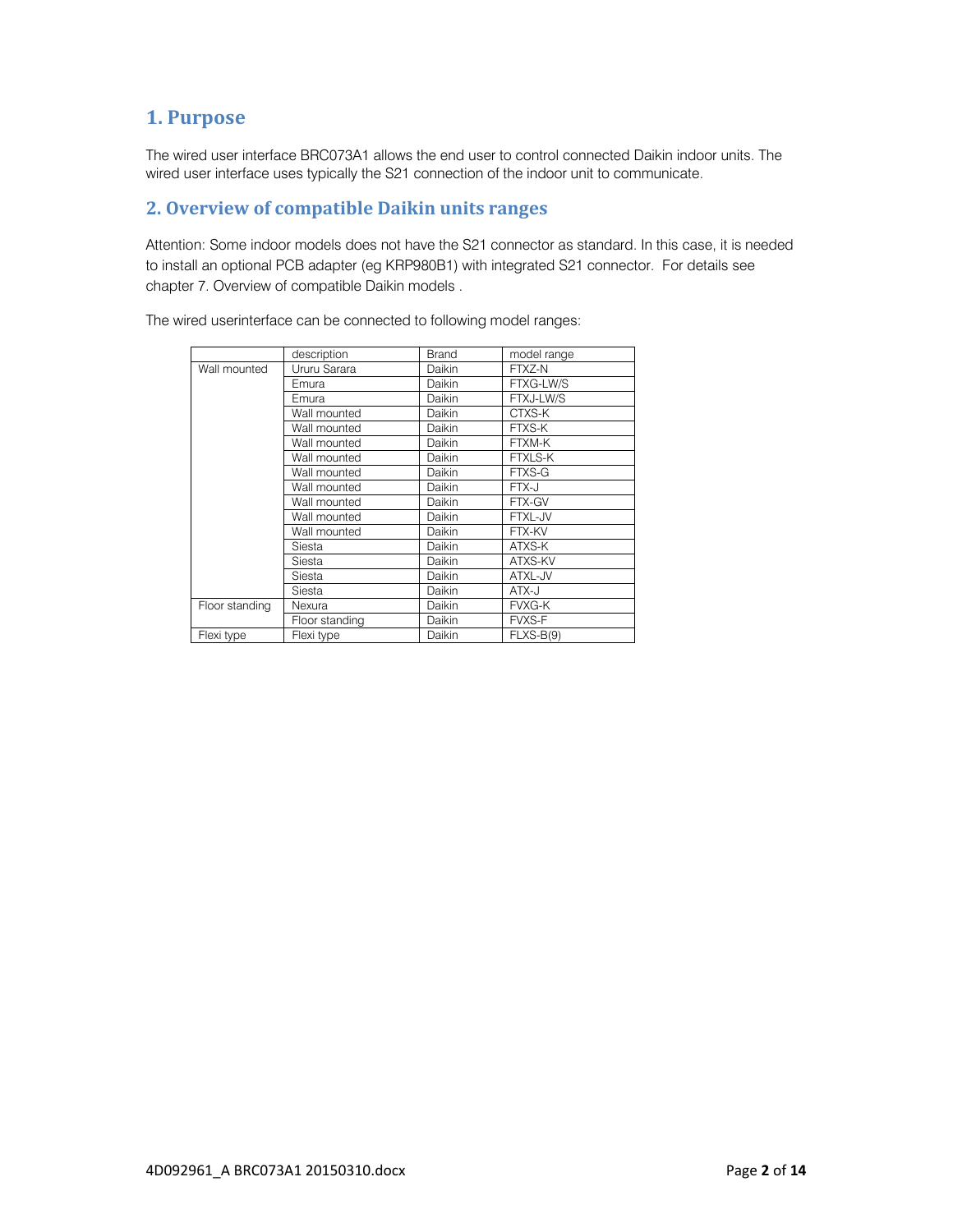# **1. Purpose**

The wired user interface BRC073A1 allows the end user to control connected Daikin indoor units. The wired user interface uses typically the S21 connection of the indoor unit to communicate.

# **2. Overview of compatible Daikin units ranges**

Attention: Some indoor models does not have the S21 connector as standard. In this case, it is needed to install an optional PCB adapter (eg KRP980B1) with integrated S21 connector. For details see chapter 7. Overview of compatible Daikin models .

The wired userinterface can be connected to following model ranges:

|                | description    | <b>Brand</b> | model range    |
|----------------|----------------|--------------|----------------|
| Wall mounted   | Ururu Sarara   | Daikin       | FTXZ-N         |
|                | Emura          | Daikin       | FTXG-LW/S      |
|                | Emura          | Daikin       | FTXJ-LW/S      |
|                | Wall mounted   | Daikin       | CTXS-K         |
|                | Wall mounted   | Daikin       | FTXS-K         |
|                | Wall mounted   | Daikin       | FTXM-K         |
|                | Wall mounted   | Daikin       | <b>FTXLS-K</b> |
|                | Wall mounted   | Daikin       | FTXS-G         |
|                | Wall mounted   | Daikin       | FTX-J          |
|                | Wall mounted   | Daikin       | FTX-GV         |
|                | Wall mounted   | Daikin       | FTXL-JV        |
|                | Wall mounted   | Daikin       | FTX-KV         |
|                | Siesta         | Daikin       | ATXS-K         |
|                | Siesta         | Daikin       | ATXS-KV        |
|                | Siesta         | Daikin       | ATXL-JV        |
|                | Siesta         | Daikin       | ATX-J          |
| Floor standing | Nexura         | Daikin       | <b>FVXG-K</b>  |
|                | Floor standing | Daikin       | <b>FVXS-F</b>  |
| Flexi type     | Flexi type     | Daikin       | $FLXS-B(9)$    |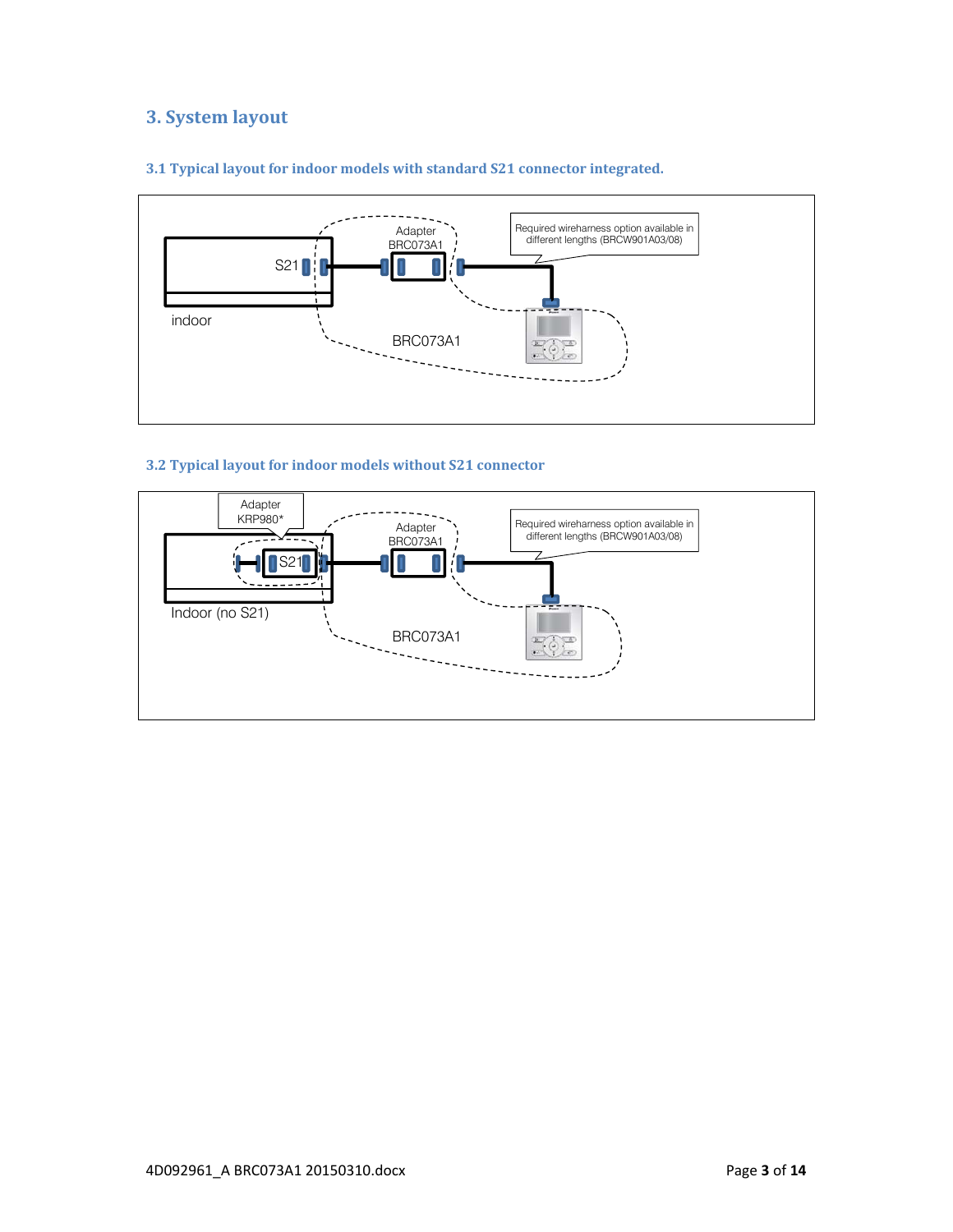# **3. System layout**



## **3.1 Typical layout for indoor models with standard S21 connector integrated.**

## **3.2 Typical layout for indoor models without S21 connector**

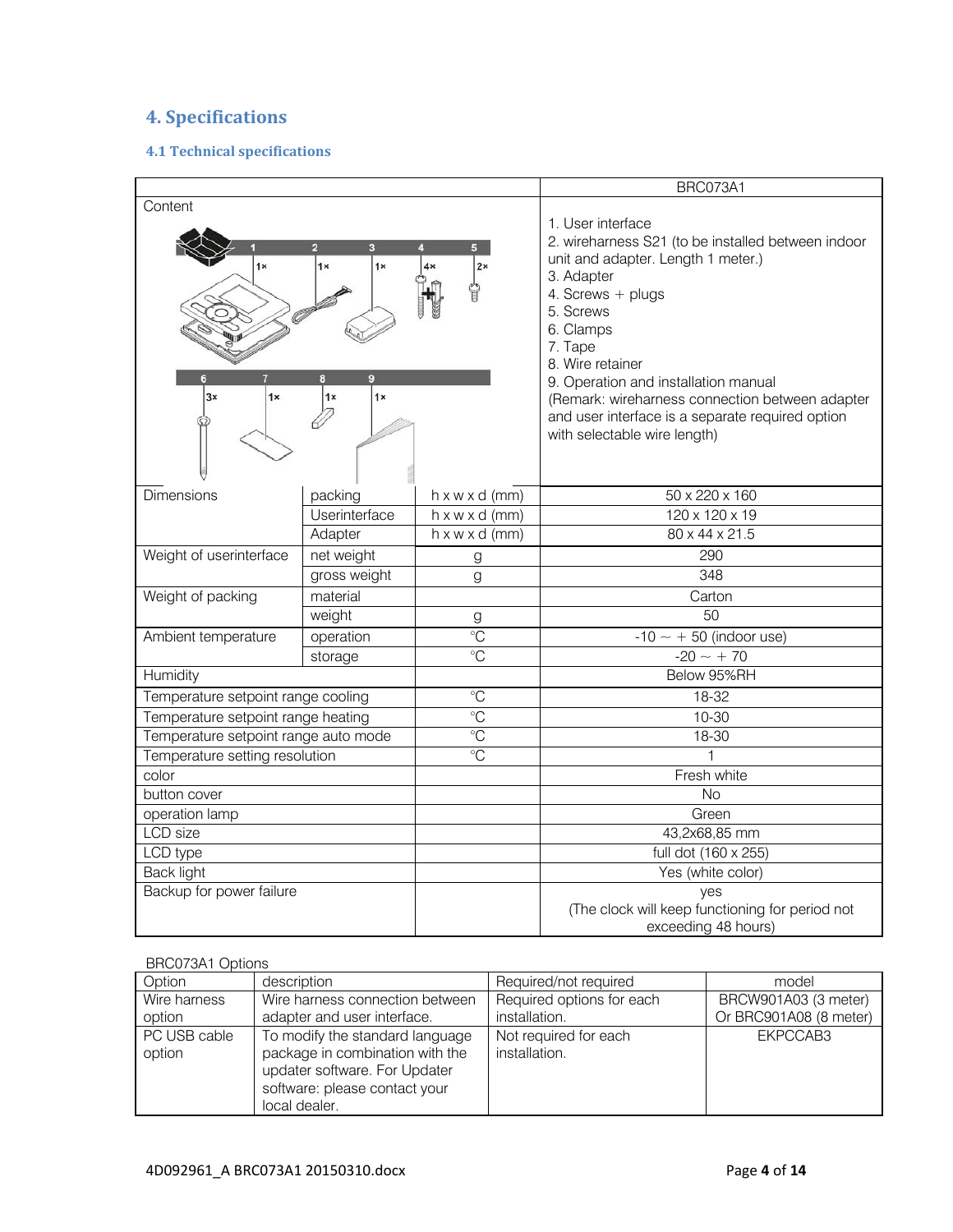# **4. Specifications**

## **4.1 Technical specifications**

|                                      |                          |                                                          | BRC073A1                                                                                                                                                                                                                                                                                                                                                                                 |
|--------------------------------------|--------------------------|----------------------------------------------------------|------------------------------------------------------------------------------------------------------------------------------------------------------------------------------------------------------------------------------------------------------------------------------------------------------------------------------------------------------------------------------------------|
| Content<br>1x<br>3x<br>1x            | 1x<br>1x<br>1x<br>1x     | 2 <sub>x</sub><br>4x                                     | 1. User interface<br>2. wireharness S21 (to be installed between indoor<br>unit and adapter. Length 1 meter.)<br>3. Adapter<br>4. Screws + plugs<br>5. Screws<br>6. Clamps<br>7. Tape<br>8. Wire retainer<br>9. Operation and installation manual<br>(Remark: wireharness connection between adapter<br>and user interface is a separate required option<br>with selectable wire length) |
| <b>Dimensions</b>                    | packing<br>Userinterface | $h \times w \times d$ (mm)                               | 50 x 220 x 160                                                                                                                                                                                                                                                                                                                                                                           |
|                                      | Adapter                  | $h \times w \times d$ (mm)<br>$h \times w \times d$ (mm) | 120 x 120 x 19<br>80 x 44 x 21.5                                                                                                                                                                                                                                                                                                                                                         |
| Weight of userinterface              | net weight               |                                                          | 290                                                                                                                                                                                                                                                                                                                                                                                      |
|                                      | gross weight             | g<br>g                                                   | 348                                                                                                                                                                                                                                                                                                                                                                                      |
| Weight of packing                    | material                 |                                                          | Carton                                                                                                                                                                                                                                                                                                                                                                                   |
|                                      | weight                   | g                                                        | $\overline{50}$                                                                                                                                                                                                                                                                                                                                                                          |
| Ambient temperature                  | operation                | $\rm ^{\circ}C$                                          | $-10 \sim +50$ (indoor use)                                                                                                                                                                                                                                                                                                                                                              |
|                                      | storage                  | $\rm ^{\circ}C$                                          | $-20 \sim +70$                                                                                                                                                                                                                                                                                                                                                                           |
| Humidity                             |                          |                                                          | Below 95%RH                                                                                                                                                                                                                                                                                                                                                                              |
| Temperature setpoint range cooling   |                          | $\overline{C}$                                           | 18-32                                                                                                                                                                                                                                                                                                                                                                                    |
| Temperature setpoint range heating   |                          | $\rm ^{\circ}C$                                          | $10 - 30$                                                                                                                                                                                                                                                                                                                                                                                |
| Temperature setpoint range auto mode |                          | $\overline{C}$                                           | 18-30                                                                                                                                                                                                                                                                                                                                                                                    |
| Temperature setting resolution       |                          | $\overline{C}$                                           | 1                                                                                                                                                                                                                                                                                                                                                                                        |
| color                                |                          |                                                          | Fresh white                                                                                                                                                                                                                                                                                                                                                                              |
| button cover                         |                          |                                                          | <b>No</b>                                                                                                                                                                                                                                                                                                                                                                                |
| operation lamp                       |                          |                                                          | Green                                                                                                                                                                                                                                                                                                                                                                                    |
| <b>LCD</b> size                      |                          |                                                          | 43,2x68,85 mm                                                                                                                                                                                                                                                                                                                                                                            |
| LCD type                             |                          |                                                          | full dot (160 x 255)                                                                                                                                                                                                                                                                                                                                                                     |
| <b>Back light</b>                    |                          |                                                          | Yes (white color)                                                                                                                                                                                                                                                                                                                                                                        |
| Backup for power failure             |                          |                                                          | ves<br>(The clock will keep functioning for period not<br>exceeding 48 hours)                                                                                                                                                                                                                                                                                                            |

## BRC073A1 Options

| Option                 | description                                                                                                                                           | Required/not required                  | model                  |
|------------------------|-------------------------------------------------------------------------------------------------------------------------------------------------------|----------------------------------------|------------------------|
| Wire harness           | Wire harness connection between                                                                                                                       | Required options for each              | BRCW901A03 (3 meter)   |
| option                 | adapter and user interface.                                                                                                                           | installation.                          | Or BRC901A08 (8 meter) |
| PC USB cable<br>option | To modify the standard language<br>package in combination with the<br>updater software. For Updater<br>software: please contact your<br>local dealer. | Not required for each<br>installation. | EKPCCAB3               |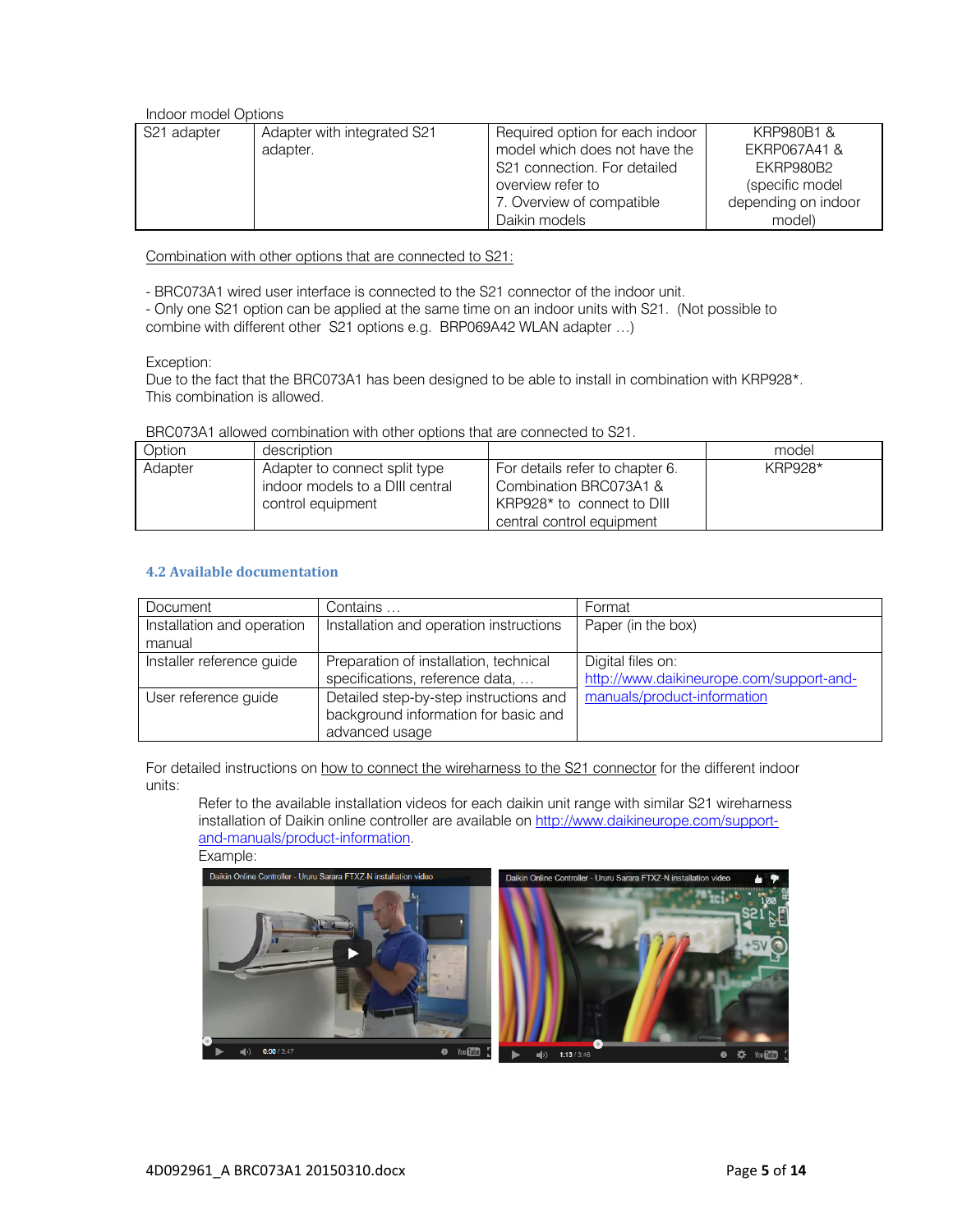Indoor model Options

| S21 adapter | Adapter with integrated S21<br>adapter. | Required option for each indoor<br>model which does not have the<br>S21 connection. For detailed<br>overview refer to<br>7. Overview of compatible | KRP980B1 &<br>FKRP067A41 &<br>FKRP980B2<br>(specific model<br>depending on indoor |
|-------------|-----------------------------------------|----------------------------------------------------------------------------------------------------------------------------------------------------|-----------------------------------------------------------------------------------|
|             |                                         | Daikin models                                                                                                                                      | model)                                                                            |

Combination with other options that are connected to S21:

- BRC073A1 wired user interface is connected to the S21 connector of the indoor unit.

- Only one S21 option can be applied at the same time on an indoor units with S21. (Not possible to combine with different other S21 options e.g. BRP069A42 WLAN adapter …)

Exception:

Due to the fact that the BRC073A1 has been designed to be able to install in combination with KRP928\*. This combination is allowed.

| Option  | description                                                                           |                                                                                                                      | model          |
|---------|---------------------------------------------------------------------------------------|----------------------------------------------------------------------------------------------------------------------|----------------|
| Adapter | Adapter to connect split type<br>indoor models to a DIII central<br>control equipment | For details refer to chapter 6.<br>Combination BRC073A1 &<br>KRP928* to connect to DIII<br>central control equipment | <b>KRP928*</b> |

BRC073A1 allowed combination with other options that are connected to S21.

## **4.2 Available documentation**

| Document                             | Contains                                                                                         | Format                                                        |
|--------------------------------------|--------------------------------------------------------------------------------------------------|---------------------------------------------------------------|
| Installation and operation<br>manual | Installation and operation instructions                                                          | Paper (in the box)                                            |
| Installer reference guide            | Preparation of installation, technical<br>specifications, reference data,                        | Digital files on:<br>http://www.daikineurope.com/support-and- |
| User reference guide                 | Detailed step-by-step instructions and<br>background information for basic and<br>advanced usage | manuals/product-information                                   |

For detailed instructions on how to connect the wireharness to the S21 connector for the different indoor units:

Refer to the available installation videos for each daikin unit range with similar S21 wireharness installation of Daikin online controller are available on http://www.daikineurope.com/supportand-manuals/product-information.

Example:

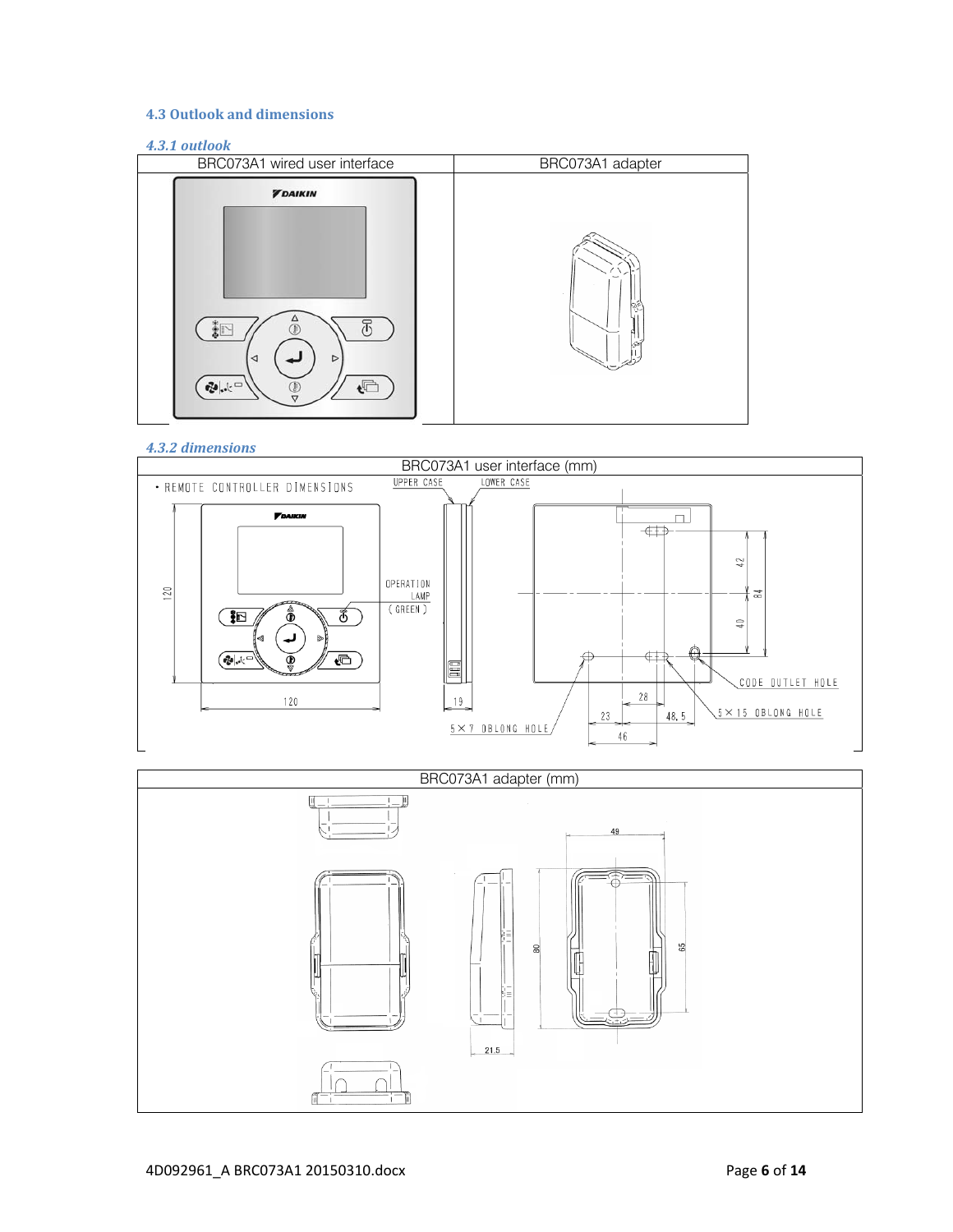## **4.3 Outlook and dimensions**

## *4.3.1 outlook*



## *4.3.2 dimensions*



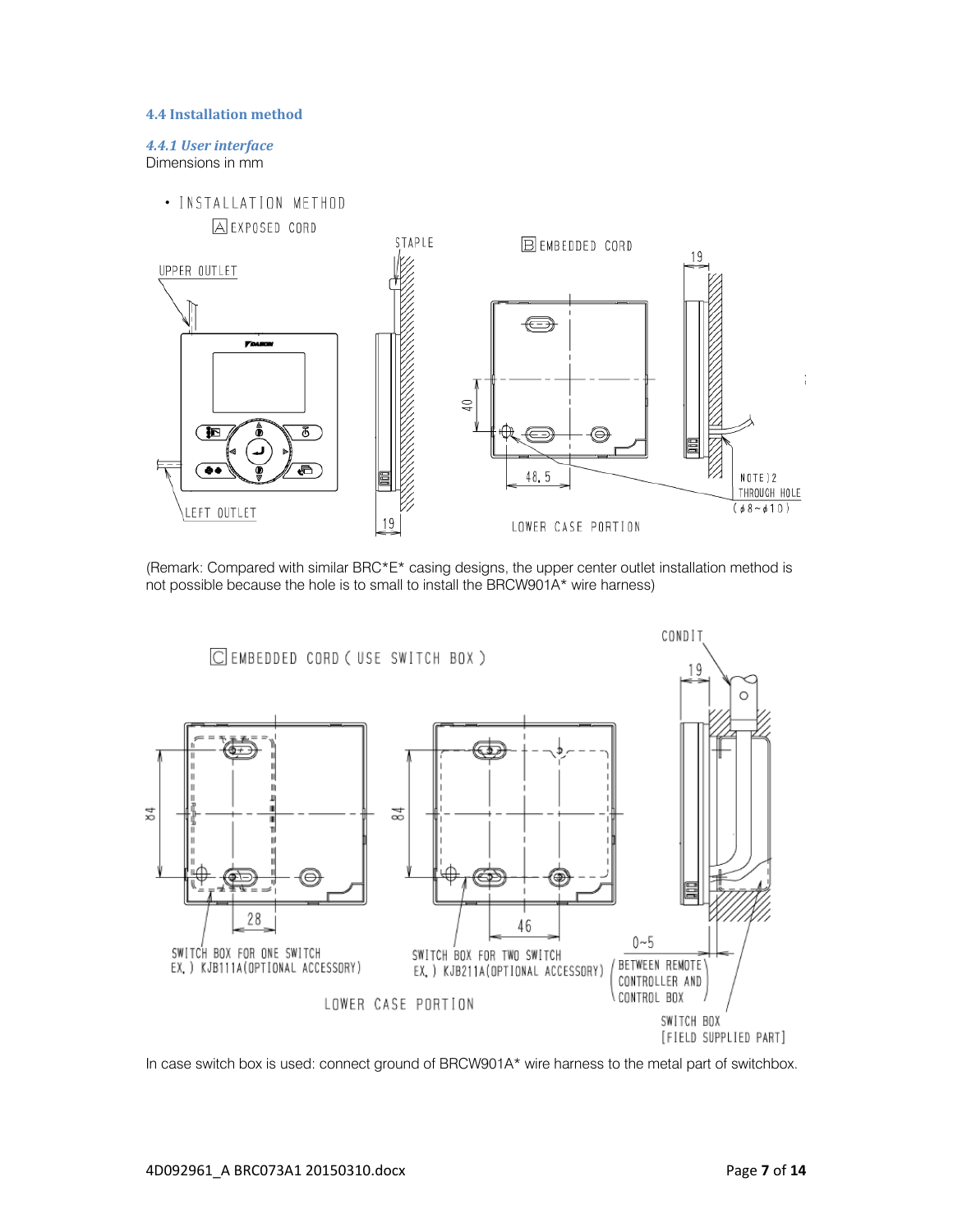#### **4.4 Installation method**

### *4.4.1 User interface* Dimensions in mm



(Remark: Compared with similar BRC\*E\* casing designs, the upper center outlet installation method is not possible because the hole is to small to install the BRCW901A\* wire harness)



In case switch box is used: connect ground of BRCW901A\* wire harness to the metal part of switchbox.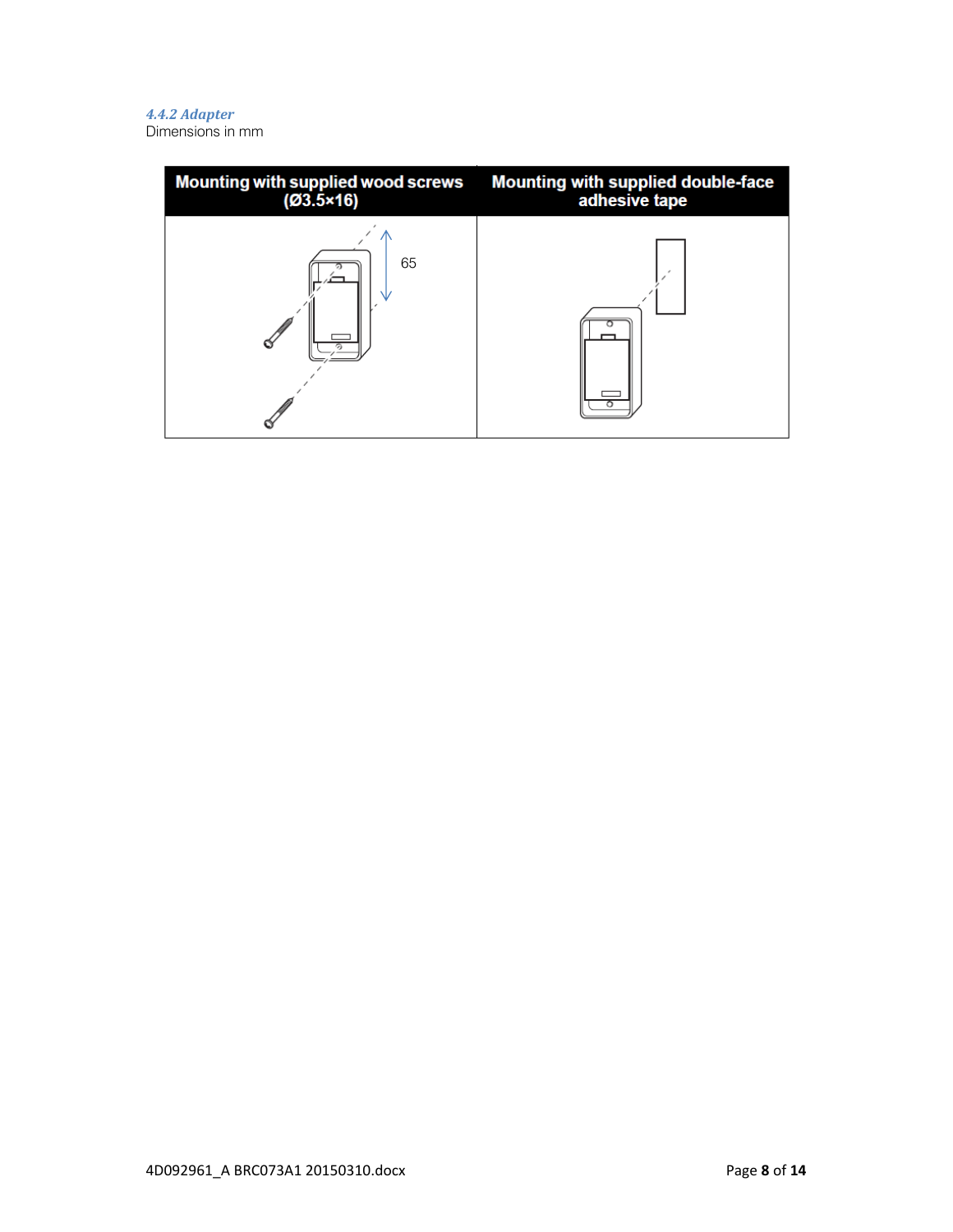## *4.4.2 Adapter*

Dimensions in mm

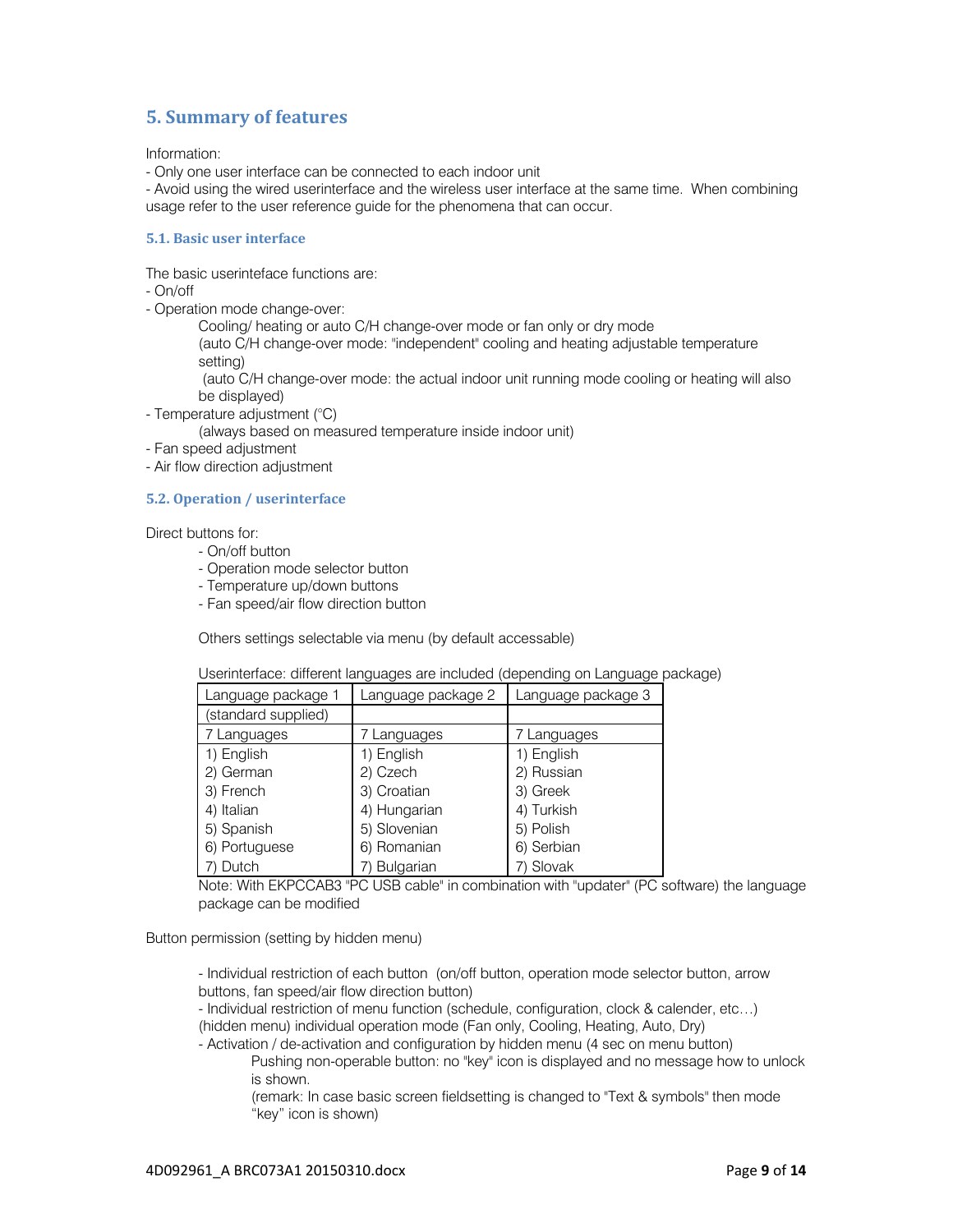## **5. Summary of features**

Information:

- Only one user interface can be connected to each indoor unit

- Avoid using the wired userinterface and the wireless user interface at the same time. When combining usage refer to the user reference guide for the phenomena that can occur.

## **5.1. Basic user interface**

The basic userinteface functions are:

- On/off

- Operation mode change-over:

Cooling/ heating or auto C/H change-over mode or fan only or dry mode

(auto C/H change-over mode: "independent" cooling and heating adjustable temperature setting)

 (auto C/H change-over mode: the actual indoor unit running mode cooling or heating will also be displayed)

- Temperature adjustment (°C)

(always based on measured temperature inside indoor unit)

- Fan speed adjustment

- Air flow direction adjustment

## **5.2. Operation / userinterface**

Direct buttons for:

- On/off button
- Operation mode selector button
- Temperature up/down buttons
- Fan speed/air flow direction button

Others settings selectable via menu (by default accessable)

|  |  | Userinterface: different languages are included (depending on Language package) |
|--|--|---------------------------------------------------------------------------------|
|  |  |                                                                                 |
|  |  |                                                                                 |

| Language package 1  | Language package 2 | Language package 3 |
|---------------------|--------------------|--------------------|
| (standard supplied) |                    |                    |
| 7 Languages         | 7 Languages        | 7 Languages        |
| 1) English          | 1) English         | 1) English         |
| 2) German           | 2) Czech           | 2) Russian         |
| 3) French           | 3) Croatian        | 3) Greek           |
| 4) Italian          | 4) Hungarian       | 4) Turkish         |
| 5) Spanish          | 5) Slovenian       | 5) Polish          |
| 6) Portuguese       | 6) Romanian        | 6) Serbian         |
| 7) Dutch            | 7) Bulgarian       | 7) Slovak          |

Note: With EKPCCAB3 "PC USB cable" in combination with "updater" (PC software) the language package can be modified

Button permission (setting by hidden menu)

- Individual restriction of each button (on/off button, operation mode selector button, arrow buttons, fan speed/air flow direction button)

- Individual restriction of menu function (schedule, configuration, clock & calender, etc…) (hidden menu) individual operation mode (Fan only, Cooling, Heating, Auto, Dry)

- Activation / de-activation and configuration by hidden menu (4 sec on menu button)

Pushing non-operable button: no "key" icon is displayed and no message how to unlock is shown.

(remark: In case basic screen fieldsetting is changed to "Text & symbols" then mode "key" icon is shown)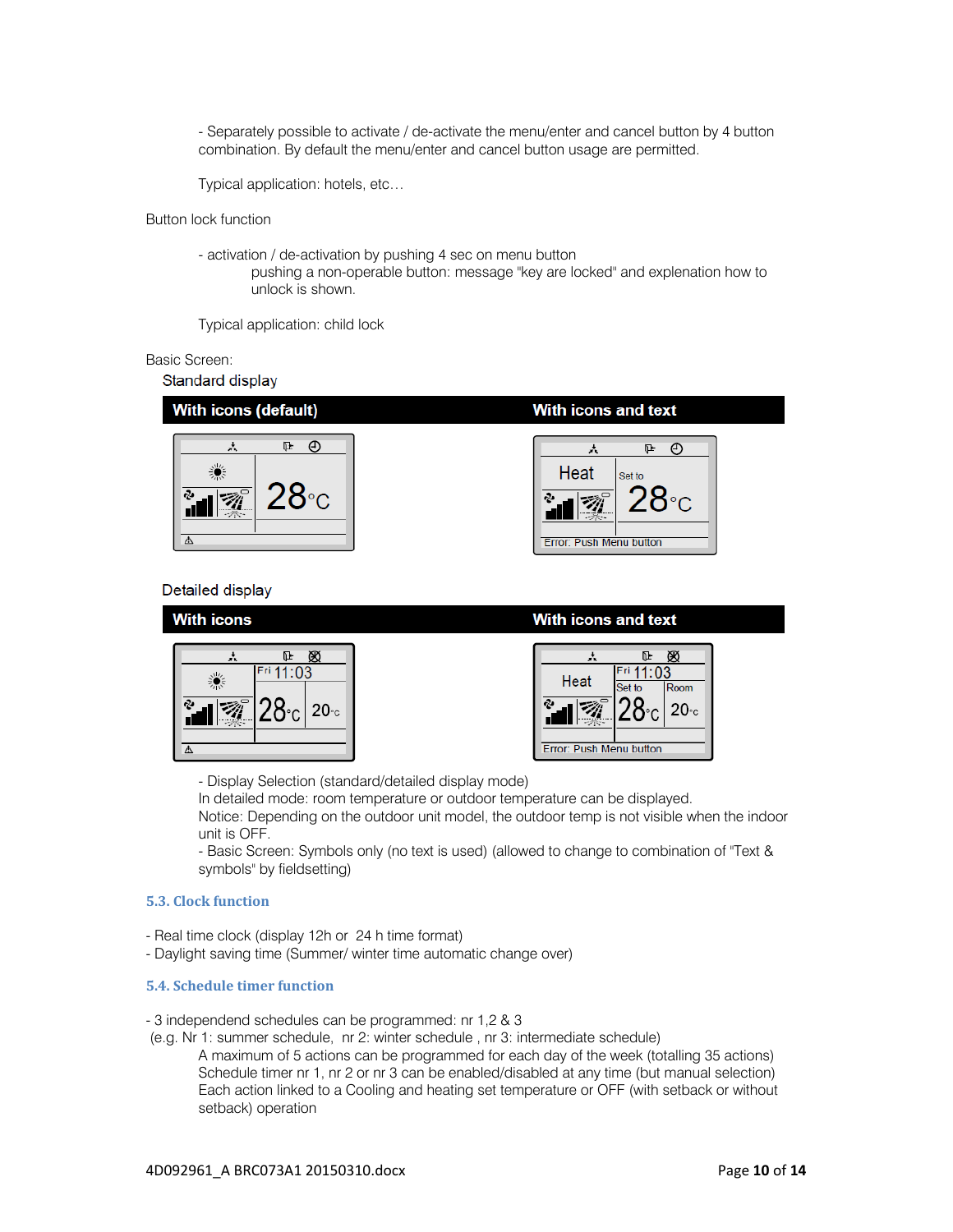- Separately possible to activate / de-activate the menu/enter and cancel button by 4 button combination. By default the menu/enter and cancel button usage are permitted.

Typical application: hotels, etc…

Button lock function

- activation / de-activation by pushing 4 sec on menu button pushing a non-operable button: message "key are locked" and explenation how to unlock is shown.

Typical application: child lock

### Basic Screen:

Standard display



## Detailed display



- Display Selection (standard/detailed display mode)

In detailed mode: room temperature or outdoor temperature can be displayed. Notice: Depending on the outdoor unit model, the outdoor temp is not visible when the indoor unit is OFF.

- Basic Screen: Symbols only (no text is used) (allowed to change to combination of "Text & symbols" by fieldsetting)

## **5.3. Clock function**

- Real time clock (display 12h or 24 h time format)
- Daylight saving time (Summer/ winter time automatic change over)

## **5.4. Schedule timer function**

- 3 independend schedules can be programmed: nr 1,2 & 3

(e.g. Nr 1: summer schedule, nr 2: winter schedule , nr 3: intermediate schedule)

A maximum of 5 actions can be programmed for each day of the week (totalling 35 actions) Schedule timer nr 1, nr 2 or nr 3 can be enabled/disabled at any time (but manual selection) Each action linked to a Cooling and heating set temperature or OFF (with setback or without setback) operation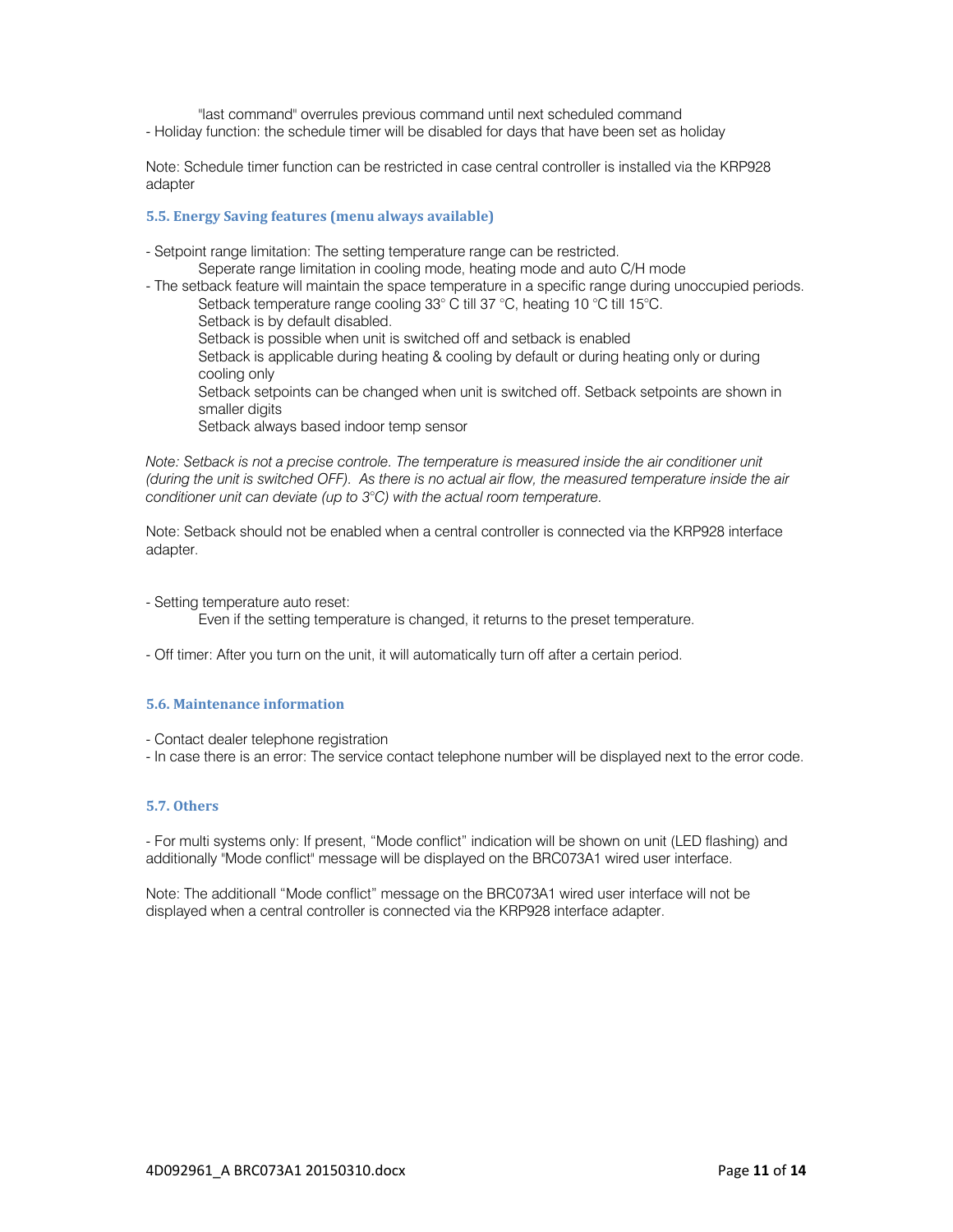"last command" overrules previous command until next scheduled command - Holiday function: the schedule timer will be disabled for days that have been set as holiday

Note: Schedule timer function can be restricted in case central controller is installed via the KRP928 adapter

## **5.5. Energy Saving features (menu always available)**

- Setpoint range limitation: The setting temperature range can be restricted.
- Seperate range limitation in cooling mode, heating mode and auto C/H mode - The setback feature will maintain the space temperature in a specific range during unoccupied periods.

 Setback temperature range cooling 33° C till 37 °C, heating 10 °C till 15°C. Setback is by default disabled. Setback is possible when unit is switched off and setback is enabled Setback is applicable during heating & cooling by default or during heating only or during cooling only Setback setpoints can be changed when unit is switched off. Setback setpoints are shown in smaller digits Setback always based indoor temp sensor

*Note: Setback is not a precise controle. The temperature is measured inside the air conditioner unit (during the unit is switched OFF). As there is no actual air flow, the measured temperature inside the air conditioner unit can deviate (up to 3°C) with the actual room temperature.* 

Note: Setback should not be enabled when a central controller is connected via the KRP928 interface adapter.

- Setting temperature auto reset:
	- Even if the setting temperature is changed, it returns to the preset temperature.
- Off timer: After you turn on the unit, it will automatically turn off after a certain period.

## **5.6. Maintenance information**

- Contact dealer telephone registration
- In case there is an error: The service contact telephone number will be displayed next to the error code.

## **5.7. Others**

- For multi systems only: If present, "Mode conflict" indication will be shown on unit (LED flashing) and additionally "Mode conflict" message will be displayed on the BRC073A1 wired user interface.

Note: The additionall "Mode conflict" message on the BRC073A1 wired user interface will not be displayed when a central controller is connected via the KRP928 interface adapter.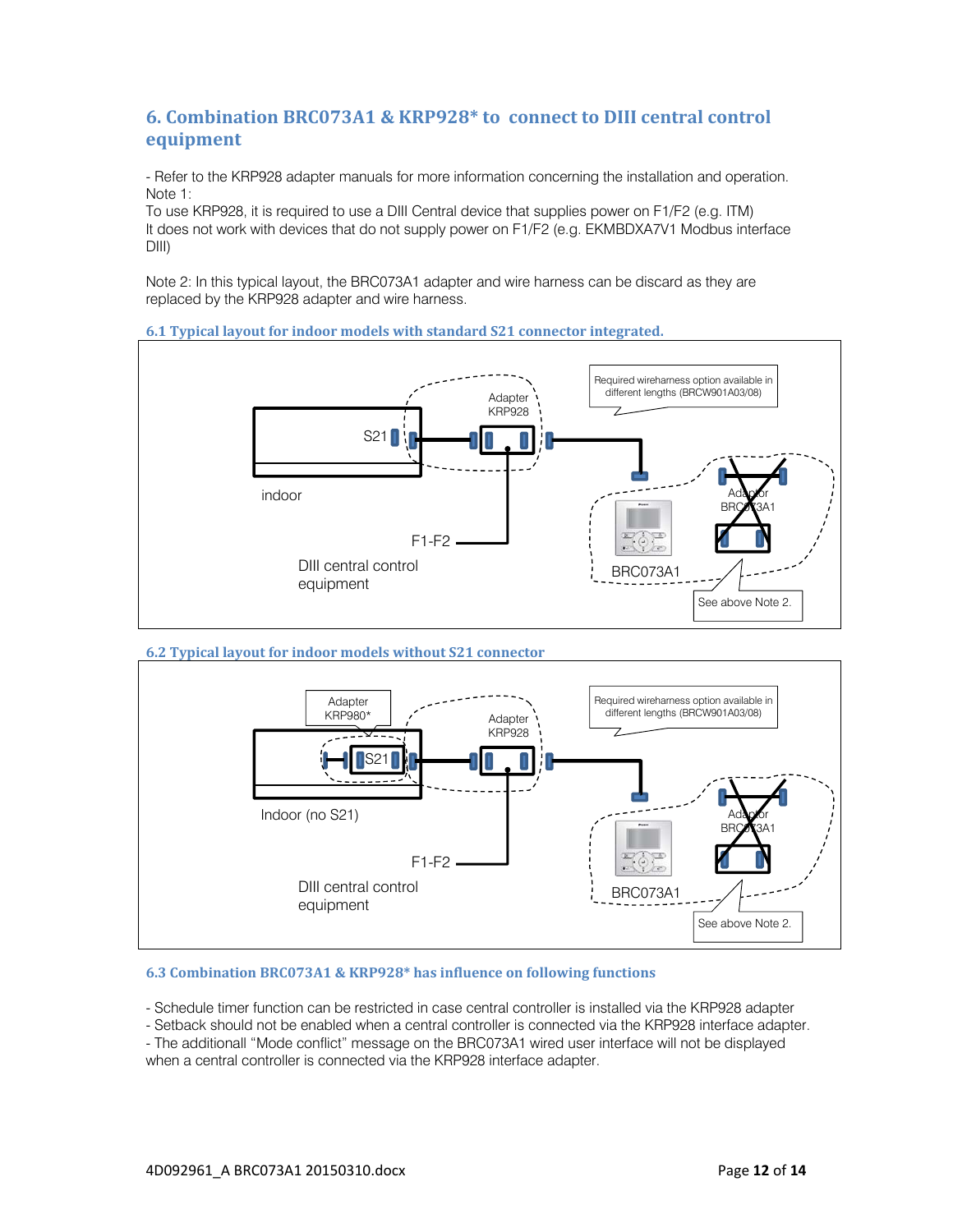## **6. Combination BRC073A1 & KRP928\* to connect to DIII central control equipment**

- Refer to the KRP928 adapter manuals for more information concerning the installation and operation. Note 1:

To use KRP928, it is required to use a DIII Central device that supplies power on F1/F2 (e.g. ITM) It does not work with devices that do not supply power on F1/F2 (e.g. EKMBDXA7V1 Modbus interface DIII)

Note 2: In this typical layout, the BRC073A1 adapter and wire harness can be discard as they are replaced by the KRP928 adapter and wire harness.

## **6.1 Typical layout for indoor models with standard S21 connector integrated.**



### **6.2 Typical layout for indoor models without S21 connector**



### **6.3 Combination BRC073A1 & KRP928\* has influence on following functions**

- Schedule timer function can be restricted in case central controller is installed via the KRP928 adapter

- Setback should not be enabled when a central controller is connected via the KRP928 interface adapter.

- The additionall "Mode conflict" message on the BRC073A1 wired user interface will not be displayed when a central controller is connected via the KRP928 interface adapter.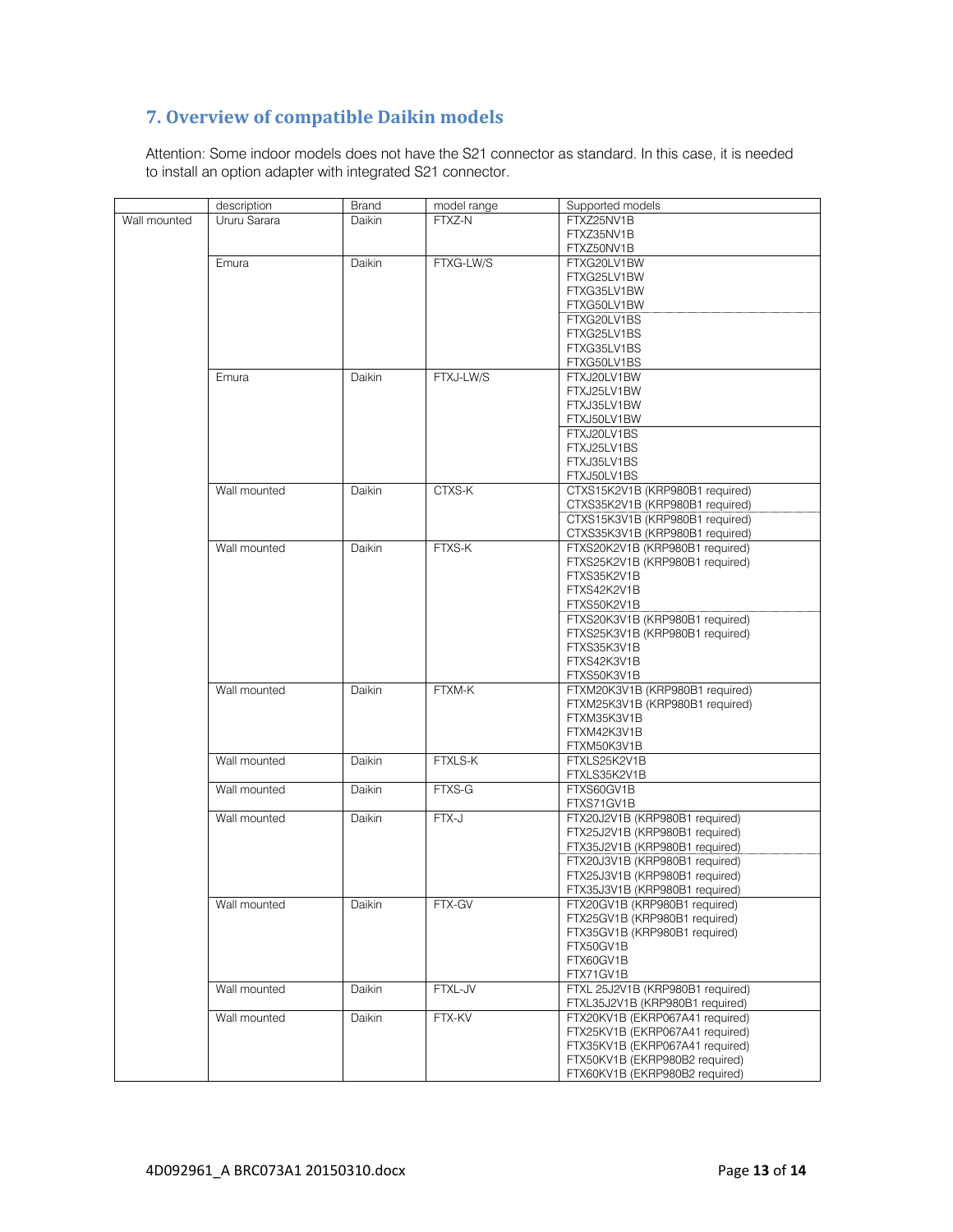# **7. Overview of compatible Daikin models**

Attention: Some indoor models does not have the S21 connector as standard. In this case, it is needed to install an option adapter with integrated S21 connector.

|              | description  | <b>Brand</b>  | model range | Supported models                 |
|--------------|--------------|---------------|-------------|----------------------------------|
| Wall mounted | Ururu Sarara | <b>Daikin</b> | FTXZ-N      | FTXZ25NV1B                       |
|              |              |               |             | FTXZ35NV1B                       |
|              |              |               |             | FTXZ50NV1B                       |
|              | Emura        | Daikin        | FTXG-LW/S   | FTXG20LV1BW                      |
|              |              |               |             | FTXG25LV1BW                      |
|              |              |               |             | FTXG35LV1BW                      |
|              |              |               |             |                                  |
|              |              |               |             | FTXG50LV1BW                      |
|              |              |               |             | FTXG20LV1BS                      |
|              |              |               |             | FTXG25LV1BS                      |
|              |              |               |             | FTXG35LV1BS                      |
|              |              |               |             | FTXG50LV1BS                      |
|              | Emura        | Daikin        | FTXJ-LW/S   | FTXJ20LV1BW                      |
|              |              |               |             |                                  |
|              |              |               |             | FTXJ25LV1BW                      |
|              |              |               |             | FTXJ35LV1BW                      |
|              |              |               |             | FTXJ50LV1BW                      |
|              |              |               |             | FTXJ20LV1BS                      |
|              |              |               |             | FTXJ25LV1BS                      |
|              |              |               |             | FTXJ35LV1BS                      |
|              |              |               |             |                                  |
|              |              |               |             | FTXJ50LV1BS                      |
|              | Wall mounted | Daikin        | CTXS-K      | CTXS15K2V1B (KRP980B1 required)  |
|              |              |               |             | CTXS35K2V1B (KRP980B1 required)  |
|              |              |               |             | CTXS15K3V1B (KRP980B1 required)  |
|              |              |               |             | CTXS35K3V1B (KRP980B1 required)  |
|              |              |               |             |                                  |
|              | Wall mounted | Daikin        | FTXS-K      | FTXS20K2V1B (KRP980B1 required)  |
|              |              |               |             | FTXS25K2V1B (KRP980B1 required)  |
|              |              |               |             | FTXS35K2V1B                      |
|              |              |               |             | FTXS42K2V1B                      |
|              |              |               |             | FTXS50K2V1B                      |
|              |              |               |             |                                  |
|              |              |               |             | FTXS20K3V1B (KRP980B1 required)  |
|              |              |               |             | FTXS25K3V1B (KRP980B1 required)  |
|              |              |               |             | FTXS35K3V1B                      |
|              |              |               |             | FTXS42K3V1B                      |
|              |              |               |             | FTXS50K3V1B                      |
|              | Wall mounted | Daikin        | FTXM-K      | FTXM20K3V1B (KRP980B1 required)  |
|              |              |               |             |                                  |
|              |              |               |             | FTXM25K3V1B (KRP980B1 required)  |
|              |              |               |             | FTXM35K3V1B                      |
|              |              |               |             | FTXM42K3V1B                      |
|              |              |               |             | FTXM50K3V1B                      |
|              | Wall mounted | Daikin        | FTXLS-K     | FTXLS25K2V1B                     |
|              |              |               |             |                                  |
|              |              |               |             | FTXLS35K2V1B                     |
|              | Wall mounted | Daikin        | FTXS-G      | FTXS60GV1B                       |
|              |              |               |             | FTXS71GV1B                       |
|              | Wall mounted | Daikin        | FTX-J       | FTX20J2V1B (KRP980B1 required)   |
|              |              |               |             | FTX25J2V1B (KRP980B1 required)   |
|              |              |               |             |                                  |
|              |              |               |             | FTX35J2V1B (KRP980B1 required)   |
|              |              |               |             | FTX20J3V1B (KRP980B1 required)   |
|              |              |               |             | FTX25J3V1B (KRP980B1 required)   |
|              |              |               |             | FTX35J3V1B (KRP980B1 required)   |
|              | Wall mounted | Daikin        | FTX-GV      | FTX20GV1B (KRP980B1 required)    |
|              |              |               |             | FTX25GV1B (KRP980B1 required)    |
|              |              |               |             |                                  |
|              |              |               |             | FTX35GV1B (KRP980B1 required)    |
|              |              |               |             | FTX50GV1B                        |
|              |              |               |             | FTX60GV1B                        |
|              |              |               |             | FTX71GV1B                        |
|              | Wall mounted | Daikin        | FTXL-JV     | FTXL 25J2V1B (KRP980B1 required) |
|              |              |               |             |                                  |
|              |              |               |             | FTXL35J2V1B (KRP980B1 required)  |
|              | Wall mounted | Daikin        | FTX-KV      | FTX20KV1B (EKRP067A41 required)  |
|              |              |               |             | FTX25KV1B (EKRP067A41 required)  |
|              |              |               |             | FTX35KV1B (EKRP067A41 required)  |
|              |              |               |             | FTX50KV1B (EKRP980B2 required)   |
|              |              |               |             |                                  |
|              |              |               |             | FTX60KV1B (EKRP980B2 required)   |